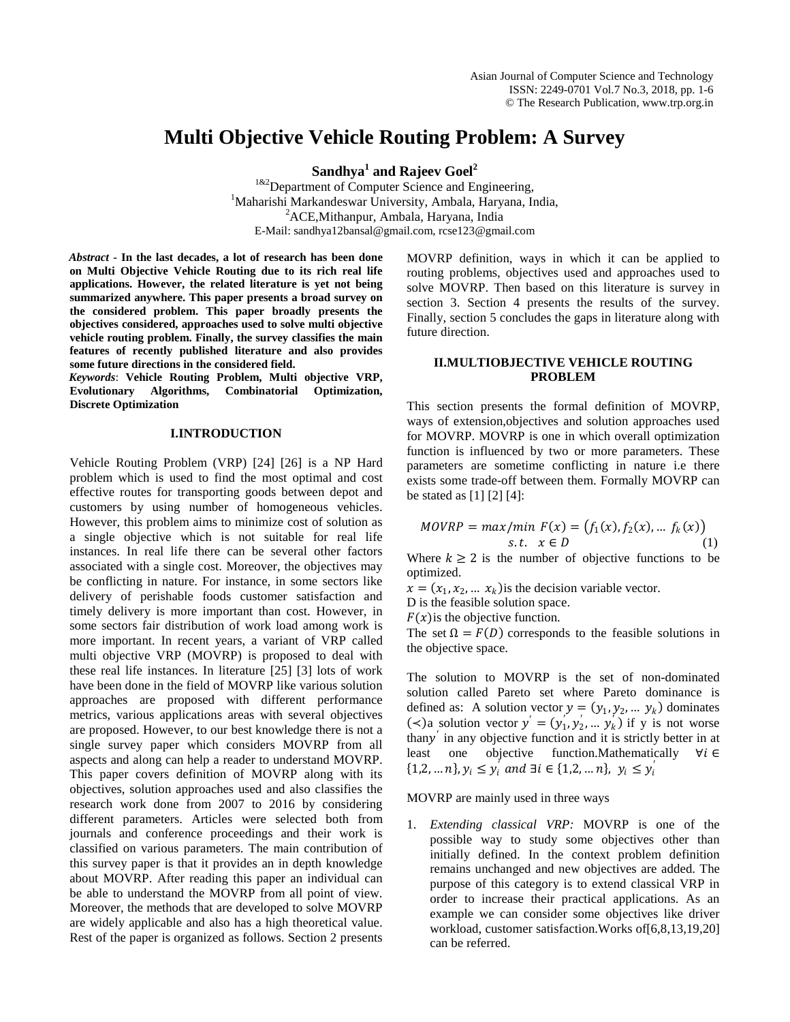## **Multi Objective Vehicle Routing Problem: A Survey**

**Sandhya<sup>1</sup> and Rajeev Goel<sup>2</sup>**

 $1^{k2}$ Department of Computer Science and Engineering, <sup>1</sup>Maharishi Markandeswar University, Ambala, Haryana, India, <sup>2</sup>ACE, Mithanpur, Ambala, Haryana, India E-Mail: sandhya12bansal@gmail.com, rcse123@gmail.com

*Abstract* **- In the last decades, a lot of research has been done on Multi Objective Vehicle Routing due to its rich real life applications. However, the related literature is yet not being summarized anywhere. This paper presents a broad survey on the considered problem. This paper broadly presents the objectives considered, approaches used to solve multi objective vehicle routing problem. Finally, the survey classifies the main features of recently published literature and also provides some future directions in the considered field.**

*Keywords*: **Vehicle Routing Problem, Multi objective VRP, Evolutionary Algorithms, Combinatorial Optimization, Discrete Optimization**

## **I.INTRODUCTION**

Vehicle Routing Problem (VRP) [24] [26] is a NP Hard problem which is used to find the most optimal and cost effective routes for transporting goods between depot and customers by using number of homogeneous vehicles. However, this problem aims to minimize cost of solution as a single objective which is not suitable for real life instances. In real life there can be several other factors associated with a single cost. Moreover, the objectives may be conflicting in nature. For instance, in some sectors like delivery of perishable foods customer satisfaction and timely delivery is more important than cost. However, in some sectors fair distribution of work load among work is more important. In recent years, a variant of VRP called multi objective VRP (MOVRP) is proposed to deal with these real life instances. In literature [25] [3] lots of work have been done in the field of MOVRP like various solution approaches are proposed with different performance metrics, various applications areas with several objectives are proposed. However, to our best knowledge there is not a single survey paper which considers MOVRP from all aspects and along can help a reader to understand MOVRP. This paper covers definition of MOVRP along with its objectives, solution approaches used and also classifies the research work done from 2007 to 2016 by considering different parameters. Articles were selected both from journals and conference proceedings and their work is classified on various parameters. The main contribution of this survey paper is that it provides an in depth knowledge about MOVRP. After reading this paper an individual can be able to understand the MOVRP from all point of view. Moreover, the methods that are developed to solve MOVRP are widely applicable and also has a high theoretical value. Rest of the paper is organized as follows. Section 2 presents

MOVRP definition, ways in which it can be applied to routing problems, objectives used and approaches used to solve MOVRP. Then based on this literature is survey in section 3. Section 4 presents the results of the survey. Finally, section 5 concludes the gaps in literature along with future direction.

## **II.MULTIOBJECTIVE VEHICLE ROUTING PROBLEM**

This section presents the formal definition of MOVRP, ways of extension,objectives and solution approaches used for MOVRP. MOVRP is one in which overall optimization function is influenced by two or more parameters. These parameters are sometime conflicting in nature i.e there exists some trade-off between them. Formally MOVRP can be stated as [1] [2] [4]:

$$
MOVRP = max/min F(x) = (f_1(x), f_2(x), \dots f_k(x))
$$
  
s.t.  $x \in D$  (1)

Where  $k \geq 2$  is the number of objective functions to be optimized.

 $x = (x_1, x_2, \dots, x_k)$  is the decision variable vector.

D is the feasible solution space.

 $F(x)$  is the objective function.

The set  $\Omega = F(D)$  corresponds to the feasible solutions in the objective space.

The solution to MOVRP is the set of non-dominated solution called Pareto set where Pareto dominance is defined as: A solution vector  $y = (y_1, y_2, \dots, y_k)$  dominates (≺)a solution vector  $y' = (y_1, y_2, \dots y_k)$  if y is not worse thany<sup> $\prime$ </sup> in any objective function and it is strictly better in at least one objective function.Mathematically  $\forall i \in$  $\{1,2,...,n\}, y_i \leq y'_i \text{ and } \exists i \in \{1,2,...,n\}, y_i \leq y'_i$ 

MOVRP are mainly used in three ways

1. *Extending classical VRP:* MOVRP is one of the possible way to study some objectives other than initially defined. In the context problem definition remains unchanged and new objectives are added. The purpose of this category is to extend classical VRP in order to increase their practical applications. As an example we can consider some objectives like driver workload, customer satisfaction.Works of[6,8,13,19,20] can be referred.